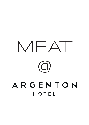# MEAT  $\overline{\text{C}}$ ARGENTON HOTEL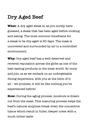## **Dry Aged Beef**

**What:** A dry aged steak is, as you surely have guessed, a steak that has been aged before cooking and eating. The most common timeframe for a steak to be dry-aged is 30 days. The meat is uncovered and surrounded by air in a controlled environment.

**Why:** Dry aged beef has a well-deserved and revered reputation across the globe as one of the best tasting products in the meat world. So come and join us as we embark on an unforgettable dining experience, with you at the helm of it all – we promise, it will be like nothing you've experienced before!

**How:** During the aging process, moisture is drawn out from the meat. This maturing process helps the beef's natural enzymes break down the connective tissue which result in fuller, deeper notes with a much richer taste.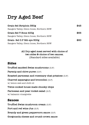## **Dry Aged Beef**

| Grain-fed Striploin 350g                  | \$45 |
|-------------------------------------------|------|
| Rangers Valley, Glenn Innes, Northern NSW |      |
| Grain-fed T-Bone 400g                     | \$65 |
| Rangers Valley, Glenn Innes, Northern NSW |      |
| Grain-fed O.P Rib eye 500g                | \$60 |
| Rangers Valley, Glenn Innes, Northern NSW |      |

**All Dry aged meat served with choice of two sides & choice of two sauces.** (Standard sides available)

### **Sides**

**Truffled sautéed Swiss mushrooms** (G.F) **Parsnip and chive puree** (G.F) **Roasted parmesan and rosemary chat potatoes** (G.F) **Charred asparagus and broccolini** (G.F) w/ lemon zest and chilli oil **Twice cooked house made chunky chips Parmesan and pear rocket salad** (G.F) w/ balsamic vinaigrette

### **Sauces**

**Truffled Swiss mushroom cream** (G.F) **Port and red wine Jus** (G.F) **Brandy and green peppercorn sauce** (G.F) **Gorgonzola cheese and crumb crown sauce**